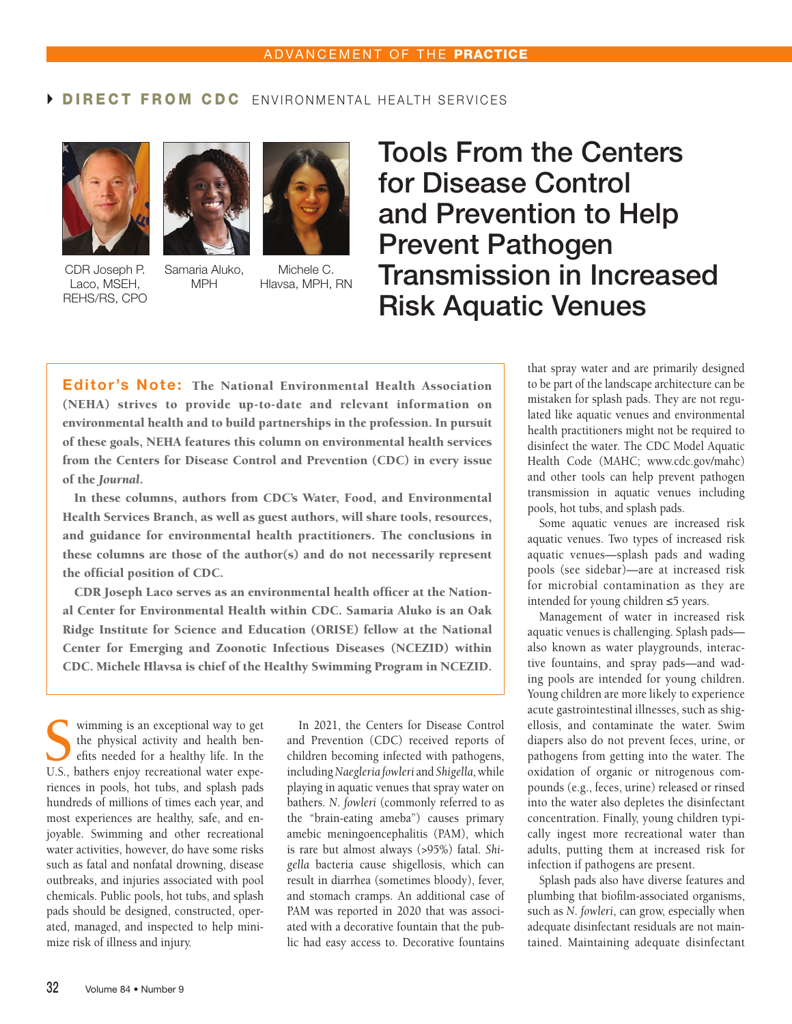## DIRECT FROM CDC ENVIRONMENTAL HEALTH SERVICES



CDR Joseph P. Laco, MSEH, REHS/RS, CPO



Samaria Aluko, MPH

Michele C. Hlavsa, MPH, RN

## Tools From the Centers for Disease Control and Prevention to Help Prevent Pathogen Transmission in Increased Risk Aquatic Venues

Editor's Note: The National Environmental Health Association (NEHA) strives to provide up-to-date and relevant information on environmental health and to build partnerships in the profession. In pursuit of these goals, NEHA features this column on environmental health services from the Centers for Disease Control and Prevention (CDC) in every issue of the *Journal*.

In these columns, authors from CDC's Water, Food, and Environmental Health Services Branch, as well as guest authors, will share tools, resources, and guidance for environmental health practitioners. The conclusions in these columns are those of the author(s) and do not necessarily represent the official position of CDC.

CDR Joseph Laco serves as an environmental health officer at the National Center for Environmental Health within CDC. Samaria Aluko is an Oak Ridge Institute for Science and Education (ORISE) fellow at the National Center for Emerging and Zoonotic Infectious Diseases (NCEZID) within CDC. Michele Hlavsa is chief of the Healthy Swimming Program in NCEZID.

Summing is an exceptional way to get<br>the physical activity and health ben-<br>efts needed for a healthy life. In the<br>IS hathers enjoy recreational water expethe physical activity and health benefits needed for a healthy life. In the U.S., bathers enjoy recreational water experiences in pools, hot tubs, and splash pads hundreds of millions of times each year, and most experiences are healthy, safe, and enjoyable. Swimming and other recreational water activities, however, do have some risks such as fatal and nonfatal drowning, disease outbreaks, and injuries associated with pool chemicals. Public pools, hot tubs, and splash pads should be designed, constructed, operated, managed, and inspected to help minimize risk of illness and injury.

In 2021, the Centers for Disease Control and Prevention (CDC) received reports of children becoming infected with pathogens, including *Naegleria fowleri* and *Shigella*, while playing in aquatic venues that spray water on bathers. *N*. *fowleri* (commonly referred to as the "brain-eating ameba") causes primary amebic meningoencephalitis (PAM), which is rare but almost always (>95%) fatal. *Shigella* bacteria cause shigellosis, which can result in diarrhea (sometimes bloody), fever, and stomach cramps. An additional case of PAM was reported in 2020 that was associated with a decorative fountain that the public had easy access to. Decorative fountains

that spray water and are primarily designed to be part of the landscape architecture can be mistaken for splash pads. They are not regulated like aquatic venues and environmental health practitioners might not be required to disinfect the water. The CDC Model Aquatic Health Code (MAHC; www.cdc.gov/mahc) and other tools can help prevent pathogen transmission in aquatic venues including pools, hot tubs, and splash pads.

Some aquatic venues are increased risk aquatic venues. Two types of increased risk aquatic venues—splash pads and wading pools (see sidebar)—are at increased risk for microbial contamination as they are intended for young children ≤5 years.

Management of water in increased risk aquatic venues is challenging. Splash pads also known as water playgrounds, interactive fountains, and spray pads—and wading pools are intended for young children. Young children are more likely to experience acute gastrointestinal illnesses, such as shigellosis, and contaminate the water. Swim diapers also do not prevent feces, urine, or pathogens from getting into the water. The oxidation of organic or nitrogenous compounds (e.g., feces, urine) released or rinsed into the water also depletes the disinfectant concentration. Finally, young children typically ingest more recreational water than adults, putting them at increased risk for infection if pathogens are present.

Splash pads also have diverse features and plumbing that biofilm-associated organisms, such as *N*. *fowleri*, can grow, especially when adequate disinfectant residuals are not maintained. Maintaining adequate disinfectant